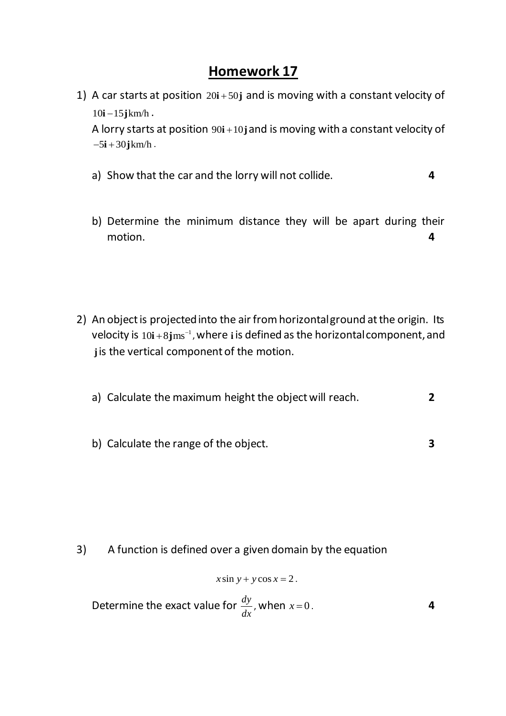## **Homework 17**

1) A car starts at position  $20i + 50j$  and is moving with a constant velocity of  $10i - 15jkm/h$ .

A lorry starts at position 90**i** +10**j** and is moving with a constant velocity of  $-5i + 30jkm/h$ .

- a) Show that the car and the lorry will not collide. **4**
- b) Determine the minimum distance they will be apart during their motion. **4**
- 2) An object is projected into the air from horizontal ground at the origin. Its velocity is  $10i+8jms^{-1}$ , where  $i$  is defined as the horizontal component, and **j** is the vertical component of the motion.
	- a) Calculate the maximum height the object will reach. **2**
	- b) Calculate the range of the object. **3**
		-
- 3) A function is defined over a given domain by the equation

$$
x\sin y + y\cos x = 2.
$$

Determine the exact value for  $\frac{dy}{dx}$  $\frac{dy}{dx}$ , when  $x=0$ . **4**